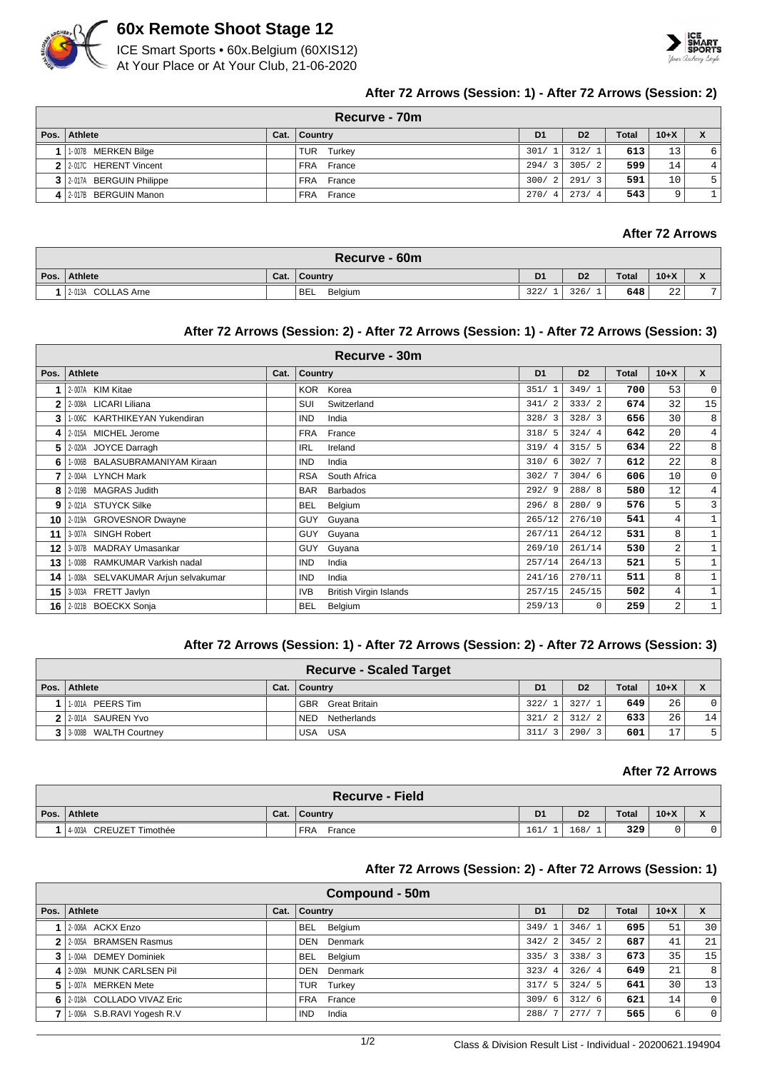

# **60x Remote Shoot Stage 12**

ICE Smart Sports • 60x.Belgium (60XIS12) At Your Place or At Your Club, 21-06-2020



# **After 72 Arrows (Session: 1) - After 72 Arrows (Session: 2)**

|          | Recurve - 70m             |      |               |                      |                |              |        |   |  |  |
|----------|---------------------------|------|---------------|----------------------|----------------|--------------|--------|---|--|--|
| Pos. $ $ | Athlete                   | Cat. | Country       | D <sub>1</sub>       | D <sub>2</sub> | <b>Total</b> | $10+X$ |   |  |  |
|          | 1-007B MERKEN Bilge       |      | TUR<br>Turkey | 301/1                | 312/1          | 613          | 13     | 6 |  |  |
|          | 2 2 2 017C HERENT Vincent |      | FRA France    | 294/<br>$\mathbf{3}$ | 305/2          | 599          | 14     | 4 |  |  |
|          | 3 2017A BERGUIN Philippe  |      | FRA France    | 300/<br>2            | 291/3          | 591          | 10     | 5 |  |  |
|          | 4 2-017B BERGUIN Manon    |      | FRA<br>France | 270/<br>4            | 273/4          | 543          |        |   |  |  |

# **After 72 Arrows**

| Recurve - 60m      |      |                                  |                |                |              |                |                                            |  |  |  |
|--------------------|------|----------------------------------|----------------|----------------|--------------|----------------|--------------------------------------------|--|--|--|
| Pos. Athlete       | Cat. | $\overline{\phantom{a}}$ Country | D <sub>1</sub> | D <sub>2</sub> | <b>Total</b> | $10+X$         | $\mathbf{v}$<br>$\boldsymbol{\mathcal{L}}$ |  |  |  |
| 2-013A COLLAS Arne |      | <b>BEL</b><br>Belgium            | 322/           | 326/           | 648          | $\Omega$<br>44 | $\overline{ }$                             |  |  |  |

# **After 72 Arrows (Session: 2) - After 72 Arrows (Session: 1) - After 72 Arrows (Session: 3)**

|      | Recurve - 30m                      |      |                                             |                |                |              |                |                |  |  |  |
|------|------------------------------------|------|---------------------------------------------|----------------|----------------|--------------|----------------|----------------|--|--|--|
| Pos. | <b>Athlete</b>                     | Cat. | Country                                     | D <sub>1</sub> | D <sub>2</sub> | <b>Total</b> | $10+X$         | $\mathsf{x}$   |  |  |  |
|      | 2-007A KIM Kitae                   |      | KOR Korea                                   | 351/1          | 349/1          | 700          | 53             | $\circ$        |  |  |  |
| 2    | 2-008A LICARI Liliana              |      | Switzerland<br>SUI                          | 341/2          | 333/2          | 674          | 32             | 15             |  |  |  |
| 3    | 1-006C KARTHIKEYAN Yukendiran      |      | <b>IND</b><br>India                         | 328/3          | 328/3          | 656          | 30             | 8 <sup>1</sup> |  |  |  |
| 4    | 2-015A MICHEL Jerome               |      | FRA<br>France                               | 318/5          | 324/4          | 642          | 20             | $4^{\circ}$    |  |  |  |
| 5    | 2-020A JOYCE Darragh               |      | <b>IRL</b><br>Ireland                       | 319/4          | 315/5          | 634          | 22             | 8 <sup>1</sup> |  |  |  |
| 6    | 1-006B BALASUBRAMANIYAM Kiraan     |      | <b>IND</b><br>India                         | 310/6          | 302/7          | 612          | 22             | 8 <sup>1</sup> |  |  |  |
|      | 2-004A LYNCH Mark                  |      | <b>RSA</b><br>South Africa                  | 302/7          | 304/6          | 606          | 10             | $\circ$        |  |  |  |
| 8    | 2-019B MAGRAS Judith               |      | <b>BAR</b><br><b>Barbados</b>               | 292/9          | 288/8          | 580          | 12             | $4^{\circ}$    |  |  |  |
| 9    | 2-021A STUYCK Silke                |      | <b>BEL</b><br>Belgium                       | 296/8          | 280/9          | 576          | 5              | $\overline{3}$ |  |  |  |
| 10   | 2-019A GROVESNOR Dwayne            |      | <b>GUY</b><br>Guyana                        | 265/12         | 276/10         | 541          | 4              | $\mathbf 1$    |  |  |  |
| 11   | 3-007A SINGH Robert                |      | Guyana<br>GUY                               | 267/11         | 264/12         | 531          | 8              |                |  |  |  |
| 12   | 3-007B MADRAY Umasankar            |      | Guyana<br>GUY                               | 269/10         | 261/14         | 530          | 2              |                |  |  |  |
| 13   | 1-008B RAMKUMAR Varkish nadal      |      | <b>IND</b><br>India                         | 257/14         | 264/13         | 521          | 5              | $\mathbf 1$    |  |  |  |
| 14   | 1-008A SELVAKUMAR Arjun selvakumar |      | <b>IND</b><br>India                         | 241/16         | 270/11         | 511          | 8              | 1              |  |  |  |
| 15   | 3-003A FRETT Javlyn                |      | <b>IVB</b><br><b>British Virgin Islands</b> | 257/15         | 245/15         | 502          | 4              | 1              |  |  |  |
| 16   | 2-021B BOECKX Sonja                |      | Belgium<br><b>BEL</b>                       | 259/13         | $\Omega$       | 259          | $\overline{a}$ |                |  |  |  |

### **After 72 Arrows (Session: 1) - After 72 Arrows (Session: 2) - After 72 Arrows (Session: 3)**

| <b>Recurve - Scaled Target</b> |      |                             |                |                        |              |        |    |  |  |
|--------------------------------|------|-----------------------------|----------------|------------------------|--------------|--------|----|--|--|
| Pos. Athlete                   | Cat. | Country                     | D <sub>1</sub> | D <sub>2</sub>         | <b>Total</b> | $10+X$ |    |  |  |
| PEERS Tim<br>1-001A            |      | <b>GBR</b><br>Great Britain | 322/           | 327/1                  | 649          | 26     |    |  |  |
| 2 2 2 001A SAUREN Yvo          |      | Netherlands<br><b>NED</b>   | 321/           | 312/<br>$\overline{2}$ | 633          | 26     | 14 |  |  |
| 3 3 3008 WALTH Courtney        |      | USA<br>USA                  | 311/<br>3      | 290/<br>્ર             | 601          | 17     |    |  |  |

## **After 72 Arrows**

| <b>Recurve - Field</b>            |      |                |                |                |              |        |                                                |  |  |
|-----------------------------------|------|----------------|----------------|----------------|--------------|--------|------------------------------------------------|--|--|
| ∖ Pos. ∣ Athlete ∖                | Cat. | <b>Country</b> | D <sub>1</sub> | D <sub>2</sub> | <b>Total</b> | $10+X$ | $\overline{\phantom{a}}$<br>$\mathbf{\Lambda}$ |  |  |
| <b>CREUZET Timothée</b><br>4-003A |      | FRA<br>France  | 161/           | 168/           | 329          |        | U                                              |  |  |

# **After 72 Arrows (Session: 2) - After 72 Arrows (Session: 1)**

|                | Compound - 50m             |      |                       |                                 |                |              |        |             |  |  |
|----------------|----------------------------|------|-----------------------|---------------------------------|----------------|--------------|--------|-------------|--|--|
| Pos. $\vert$   | Athlete                    | Cat. | Country               | D <sub>1</sub>                  | D <sub>2</sub> | <b>Total</b> | $10+X$ | X           |  |  |
|                | 2-006A ACKX Enzo           |      | BEL Belgium           | 349/1                           | 346/1          | 695          | 51     | 30          |  |  |
|                | 2-005A BRAMSEN Rasmus      |      | Denmark<br><b>DEN</b> | 342/<br>2                       | 345/2          | 687          | 41     | 21          |  |  |
| 3 <sup>1</sup> | 1-004A DEMEY Dominiek      |      | Belgium<br><b>BEL</b> | 335/<br>$\overline{\mathbf{3}}$ | 338/3          | 673          | 35     | 15          |  |  |
|                | 4 2009A MUNK CARLSEN Pil   |      | Denmark<br><b>DEN</b> | 323/<br>$\overline{4}$          | 326/4          | 649          | 21     | 8           |  |  |
| 5.             | 1-007A MERKEN Mete         |      | TUR Turkey            | 317/<br>- 5                     | 324/5          | 641          | 30     | 13          |  |  |
|                | 6 2018 COLLADO VIVAZ Eric  |      | FRA France            | 309/<br>-6                      | 312/6          | 621          | 14     | $\Omega$    |  |  |
|                | 1-006A S.B.RAVI Yogesh R.V |      | <b>IND</b><br>India   | 288/                            | 277/7          | 565          | 6      | $\mathbf 0$ |  |  |